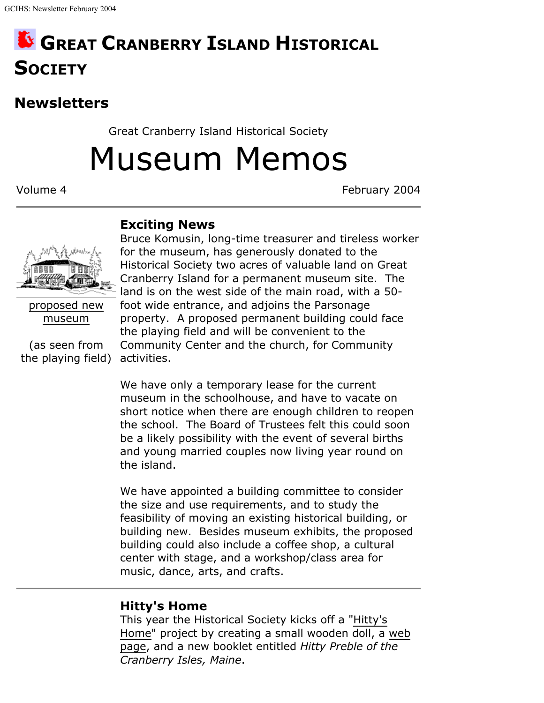# **GREAT CRANBERRY ISLAND HISTORICAL SOCIETY**

# **Newsletters**

Great Cranberry Island Historical Society

Museum Memos

Volume 4 February 2004

#### **Exciting News**



proposed new museum

(as seen from the playing field) activities.

Bruce Komusin, long-time treasurer and tireless worker for the museum, has generously donated to the Historical Society two acres of valuable land on Great Cranberry Island for a permanent museum site. The land is on the west side of the main road, with a 50 foot wide entrance, and adjoins the Parsonage property. A proposed permanent building could face the playing field and will be convenient to the Community Center and the church, for Community

We have only a temporary lease for the current museum in the schoolhouse, and have to vacate on short notice when there are enough children to reopen the school. The Board of Trustees felt this could soon be a likely possibility with the event of several births and young married couples now living year round on the island.

We have appointed a building committee to consider the size and use requirements, and to study the feasibility of moving an existing historical building, or building new. Besides museum exhibits, the proposed building could also include a coffee shop, a cultural center with stage, and a workshop/class area for music, dance, arts, and crafts.

## **Hitty's Home**

This year the Historical Society kicks off a "Hitty's Home" project by creating a small wooden doll, a web page, and a new booklet entitled *Hitty Preble of the Cranberry Isles, Maine*.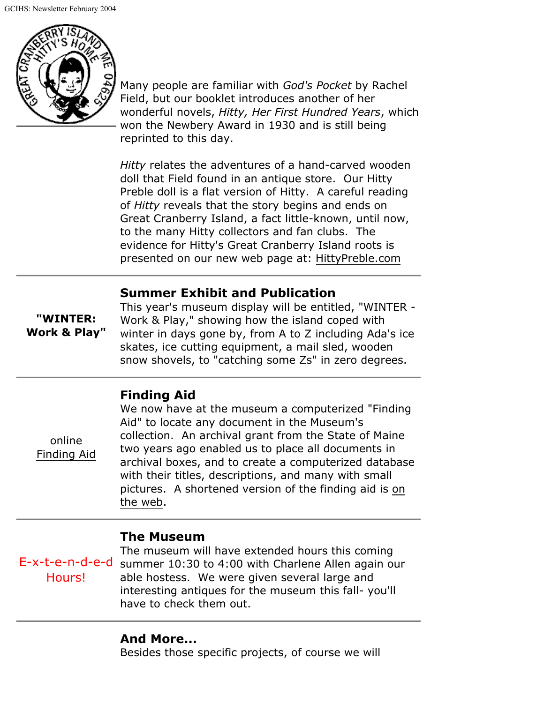

Many people are familiar with *God's Pocket* by Rachel Field, but our booklet introduces another of her wonderful novels, *Hitty, Her First Hundred Years*, which won the Newbery Award in 1930 and is still being reprinted to this day.

*Hitty* relates the adventures of a hand-carved wooden doll that Field found in an antique store. Our Hitty Preble doll is a flat version of Hitty. A careful reading of *Hitty* reveals that the story begins and ends on Great Cranberry Island, a fact little-known, until now, to the many Hitty collectors and fan clubs. The evidence for Hitty's Great Cranberry Island roots is presented on our new web page at: HittyPreble.com

#### **Summer Exhibit and Publication**

**"WINTER: Work & Play"**

This year's museum display will be entitled, "WINTER - Work & Play," showing how the island coped with winter in days gone by, from A to Z including Ada's ice skates, ice cutting equipment, a mail sled, wooden snow shovels, to "catching some Zs" in zero degrees.

### **Finding Aid**

online Finding Aid We now have at the museum a computerized "Finding Aid" to locate any document in the Museum's collection. An archival grant from the State of Maine two years ago enabled us to place all documents in archival boxes, and to create a computerized database with their titles, descriptions, and many with small pictures. A shortened version of the finding aid is on the web.

#### **The Museum**

E-x-t-e-n-d-e-d summer 10:30 to 4:00 with Charlene Allen again our Hours! The museum will have extended hours this coming able hostess. We were given several large and interesting antiques for the museum this fall- you'll have to check them out.

#### **And More...**

Besides those specific projects, of course we will